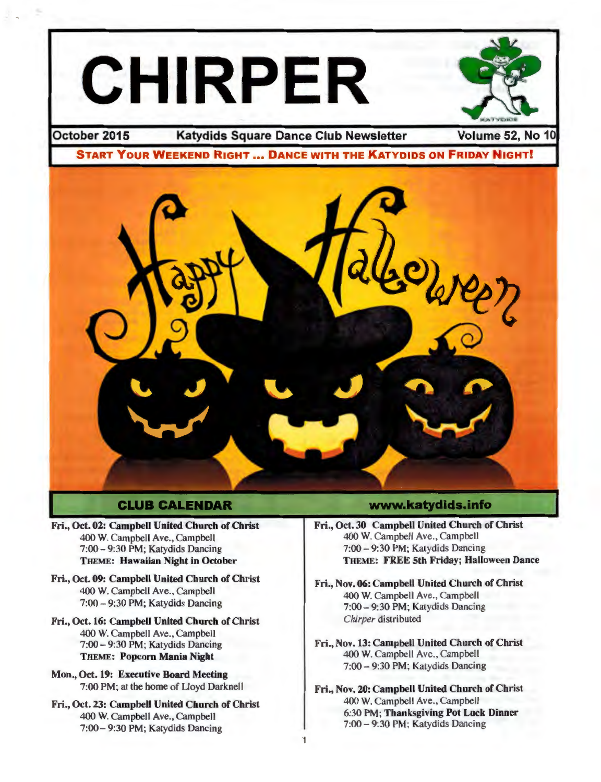

## **CLUB CALENDAR**

- Fri., Oct. 02: Campbell United Church of Christ 400 W. Campbell Ave., Campbell 7:00-9:30 PM; Katydids Dancing THEME: Hawaiian Night in October
- Fri., Oct. 09: Campbell United Church of Christ 400 W. Campbell Ave., Campbell 7:00 - 9:30 PM; Katydids Dancing
- Fri., Oct. 16: Campbell United Church of Christ 400 W. Campbell Ave., Campbell 7:00- 9:30PM; Katydids Dancing THEME: Popcorn Mania Night
- Mon., Oct. 19: Executive Board Meeting 7:00PM; at the home of Lloyd Darknell
- Fri., Oct. 23: Campbell United Church of Christ 400 W. Campbell Ave. , Campbell 7:00-9:30 PM; Katydids Dancing

## www.katydids.info

- Fri., Oct. 30 Campbell United Church of Christ 400 W. Campbell Ave., Campbell 7:00 - 9:30 PM; Katydids Dancing THEME: FREE 5th Friday; Halloween Dance
- Fri., Nov. 06: Campbell United Church of Christ 400 W. Campbell Ave., Campbell 7:00- 9:30PM; Katydids Dancing *Chirper* distributed
- Fri., Nov. 13: Campbell United Church of Christ 400 W. Campbell Ave ., Campbell 7:00 - 9:30 PM; Katydids Dancing
- Fri., Nov. 20: Campbell United Church of Christ 400 W. Campbell Ave., Campbell 6:30PM; Thanksgiving Pot Luck Dinner 7:00 - 9:30 PM; Katydids Dancing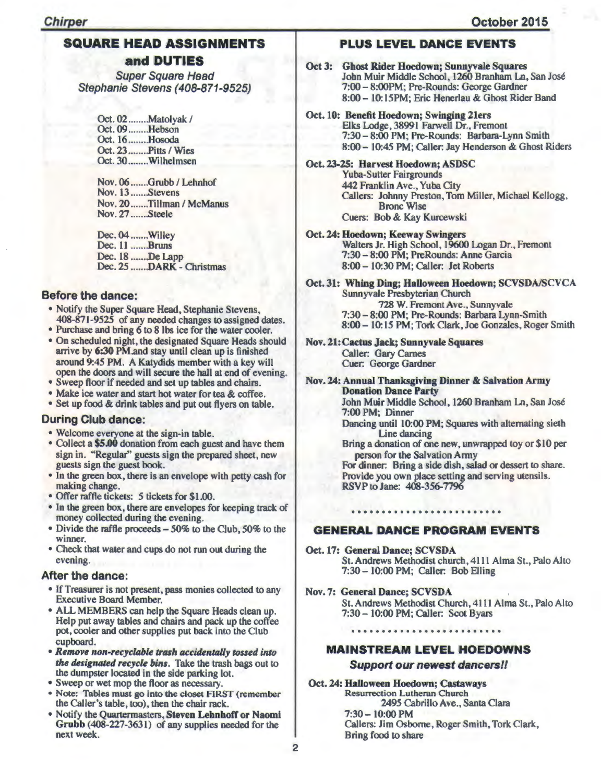## **SQUARE HEAD ASSIGNMENTS and DUTIES**

Super Square Head Stephanie Stevens (408-871-9525)

> Oct. 02 ........Matolyak / Oct. 09 ........ Hebson Oct. 16 ........ Hosoda Oct. 23 ........Pitts / Wies Oct. 30 ........Wilhelmsen

Nov. 06 .......Grubb / Lehnhof Nov. 13 ....... Stevens Nov. 20 .......Tillman / McManus Nov. 27 ....... Steele

Dec. 04 ...... .Willey Dec. 11 ....... Bruns Dec. 18 ....... De Lapp Dec. 25 .......DARK - Christmas

### Before the dance:

- Notify the Super Square Head, Stephanie Stevens, 408-871-9525 of any needed changes to assigned dates.
- Purchase and bring 6 to 8 lbs ice for the water cooler.
- On scheduled night, the designated Square Heads should arrive by 6:30 PM and stay until clean up is finished around 9:45 PM. A Katydids member with a key will open the doors and will secure the hall at end of evening.
- Sweep floor if needed and set up tables and chairs.
- Make ice water and start hot water for tea & coffee.
- Set up food & drink tables and put out flyers on table.

## During Club dance:

- Welcome everyone at the sign-in table.
- Collect a \$5.00 donation from each guest and have them sign in. "Regular" guests sign the prepared sheet, new guests sign the guest book.
- In the green box, there is an envelope with petty cash for making change.
- Offer raffle tickets: 5 tickets for \$1.00.
- In the green box, there are envelopes for keeping track of money collected during the evening.
- Divide the raffle proceeds- 50% to the Club, 50% to the winner.
- Check that water and cups do not run out during the evening.

## After the dance:

- If Treasurer is not present, pass monies collected to any Executive Board Member.
- ALL MEMBERS can help the Square Heads clean up. Help put away tables and chairs and pack up the coffee pot, cooler and other supplies put back into the Club cupboard.
- *Remove non-recyclable trash accidentally tossed into the designated recycle bins.* Take the trash bags out to the dumpster located in the side parking lot.
- Sweep or wet mop the floor as necessary.
- Note: Tables must go into the closet FIRST (remember the Caller's table, too), then the chair rack.
- Notify the Quartermasters, Steven Lehnhoff or Naomi Grubb (408-227-3631) of any supplies needed for the next week.

## **PLUS LEVEL DANCE EVENTS**

- Oct 3: Ghost Rider Hoedown; Sunnyvale Squares John Muir Middle School, 1260 Branham Ln, San Jose 7:00- 8:00PM; Pre-Rounds: George Gardner 8:00- 10: 15PM; Eric Henerlau & Ghost Rider Band
- Oct. 10: Benefit Hoedown; Swinging 21ers Elks Lodge, 38991 Farwell Dr., Fremont 7:30-8:00 PM; Pre-Rounds: Barbara-Lynn Smith 8:00- 10:45 PM; Caller: Jay Henderson & Ghost Riders
- Oct. 23-25: Harvest Hoedown; ASDSC Yuba-Sutter Fairgrounds 442 Franklin Ave., Yuba City Callers: Johnny Preston, Tom Miller, Michael Kellogg, Bronc Wise Cuers: Bob & Kay Kurcewski
- Oct. 24: Hoedown; Keeway Swingers Walters Jr. High School, 19600 Logan Dr., Fremont 7:30- 8:00 PM; Pre Rounds: Anne Garcia 8:00- 10:30 PM; Caller: Jet Roberts
- Oct. 31: Whing Ding; Halloween Hoedown; SCVSDA/SCVCA Sunnyvale Presbyterian Church 728 W. Fremont Ave., Sunnyvale 7:30- 8:00PM; Pre-Rounds: Barbara Lynn-Smith 8:00- 10: 15 PM; Tork Clark, Joe Gonzales, Roger Smith
- Nov. 21:Cactus Jack; Sunnyvale Squares Caller: Gary Carnes Cuer: George Gardner
- Nov. 24: Annual Thanksgiving Dinner & Salvation Army Donation Dance Party

John Muir Middle School, 1260 Branham Ln, San Jose 7:00 PM; Dinner

Dancing until 10:00 PM; Squares with alternating sieth Line dancing

Bring a donation of one new, unwrapped toy or \$10 per person for the Salvation Army

For dinner: Bring a side dish, salad or dessert to share. Provide you own place setting and serving utensils. RSVP to Jane: 408-356-7796

## **GENERAL DANCE PROGRAM EVENTS**

- Oct.17: General Dance; SCVSDA St. Andrews Methodist church, 4111 Alma St., Palo Alto 7:30- 10:00 PM; Caller: Bob Elling
- Nov. 7: General Dance; SCVSDA St. Andrews Methodist Church, 4111 Alma St., Palo Alto 7:30- 10:00 PM; Caller: Scot Byars

## **MAINSTREAM LEVEL HOEDOWNS**

#### Support our newest dancers//

Oct. 24: Halloween Hoedown; Castaways Resurrection Lutheran Church 2495 Cabrillo Ave., Santa Clara 7:30- 10:00 PM Callers: Jim Osborne, Roger Smith, Tork Clark,

Bring food to share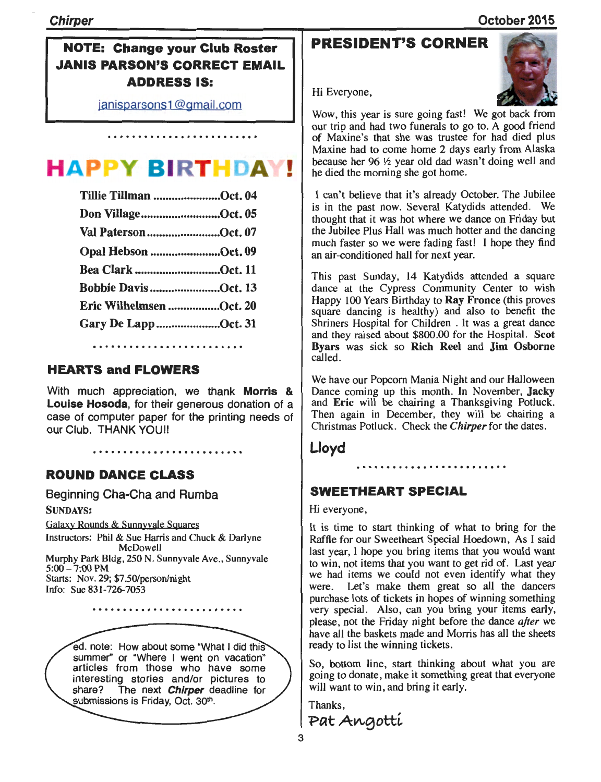## NOTE: Change your Club Roster JANIS PARSON'S CORRECT EMAIL ADDRESS IS:

janisparsons1 @gmail.com

#### **HAPPY BIRTHDAY** I •

| Tillie Tillman Oct. 04   |  |
|--------------------------|--|
| Don VillageOct. 05       |  |
| Val PatersonOct. 07      |  |
| Opal Hebson Oct. 09      |  |
| <b>Bea Clark Oct. 11</b> |  |
| Bobbie Davis Oct. 13     |  |
| Eric Wilhelmsen Oct. 20  |  |
| Gary De LappOct. 31      |  |
|                          |  |

## HEARTS and FLOWERS

With much appreciation, we thank Morris & Louise Hosoda, for their generous donation of a case of computer paper for the printing needs of our Club. THANK YOU!!

. . . . . . . . . . . . . . . . .

ROUND DANCE CLASS

Starts: Nov. 29; \$7.50/person/night

Info: Sue 831-726-7053

Beginning Cha-Cha and Rumba SUNDAYS: Galaxy Rounds & Sunnyvale SQuares Instructors: Phil & Sue Harris and Chuck & Darlyne McDowell Murphy Park Bldg, 250 N. Sunnyvale Ave., Sunnyvale  $5:00 - 7:00$  PM

ed. note: How about some "What I did this summer" or "Where I went on vacation" articles from those who have some interesting stories and/or pictures to share? The next **Chirper** deadline for submissions is Friday, Oct. 30<sup>th</sup>.

## PRESIDENT'S CORNER



Hi Everyone,

Wow, this year is sure going fast! We got back from our trip and had two funerals to go to. A good friend of Maxine's that she was trustee for had died plus Maxine had to come home 2 days early from Alaska because her 96  $\frac{1}{2}$  year old dad wasn't doing well and he died the morning she got home .

I can't believe that it's already October. The Jubilee is in the past now. Several Katydids attended. We thought that it was hot where we dance on Friday but the Jubilee Plus Hall was much hotter and the dancing much faster so we were fading fast! I hope they find an air-conditioned hall for next year.

This past Sunday, 14 Katydids attended a square dance at the Cypress Community Center to wish Happy 100 Years Birthday to Ray Fronce (this proves square dancing is healthy) and also to benefit the Shriners Hospital for Children . It was a great dance and they raised about \$800.00 for the Hospital. Scot Byars was sick so Rich Reel and Jim Osborne called.

We have our Popcorn Mania Night and our Halloween Dance coming up this month. In November, Jacky and Eric will be chairing a Thanksgiving Potluck. Then again in December, they will be chairing a Christmas Potluck. Check the *Chirper* for the dates.

. . . . . . . . . . . . . . . . . .

Lloyd

# SWEETHEART SPECIAL

Hi everyone,

It is time to start thinking of what to bring for the Raffle for our Sweetheart Special Hoedown, As I said last year, I hope you bring items that you would want to win, not items that you want to get rid of. Last year we had items we could not even identify what they were. Let's make them great so all the dancers purchase lots of tickets in hopes of winning something very special. Also, can you bring your items early, please, not the Friday night before the dance *after* we have all the baskets made and Morris has all the sheets ready to list the winning tickets.

So, bottom line, start thinking about what you are going to donate, make it something great that everyone will want to win, and bring it early.

Thanks,<br>Pat Angottí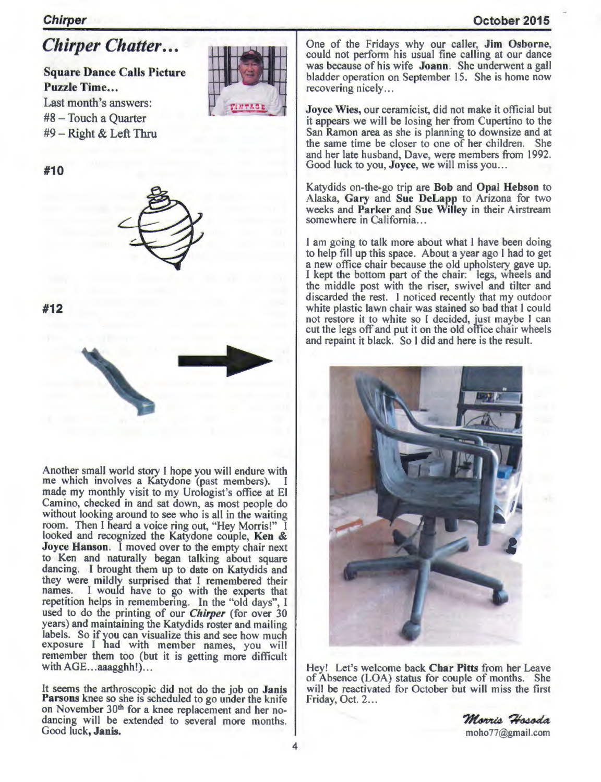## October 2015

## **Chirper**

# *Chirper Chatter ...*

Square Dance Calls Picture Puzzle Time... Last month's answers: #8 - Touch a Quarter  $#9 - Right & Left Thru$ 



#10



#12

Another small world story I hope you will endure with me which involves a Katydone (past members). made my monthly visit to my Urologist's office at El Camino, checked in and sat down, as most people do without looking around to see who is all in the waiting room. Then I heard a voice ring out, "Hey Morris!" I looked and recognized the Katydone couple, Ken & Joyce Hanson. I moved over to the empty chair next to Ken and naturally began talking about square dancing. I brought them up to date on Katydids and they were mildly surprised that I remembered their names. I would have to go with the experts that repetition helps in remembering. In the "old days", I used to do the printing of our *Chirper* (for over 30 years) and maintaining the Katydids roster and mailing labels. So if you can visualize this and see how much exposure I had with member names, you will remember them too (but it is getting more difficult with  $AGE...$  aaagghh!)...

It seems the arthroscopic did not do the job on Janis Parsons knee so she is scheduled to go under the knife on November 30<sup>th</sup> for a knee replacement and her nodancing will be extended to several more months. Good luck, Janis.

One of the Fridays why our caller, Jim Osborne, could not perform his usual fine calling at our dance was because of his wife Joann. She underwent a gall bladder operation on September 15. She is home now recovering nicely...

Joyce Wies, our ceramicist, did not make it official but it appears we will be losing her from Cupertino to the San Ramon area as she is planning to downsize and at the same time be closer to one of her children. She and her late husband. Dave, were members from 1992. Good luck to you, Joyce, we will miss you...

Katydids on-the-go trip are Bob and Opal Hebson to Alaska, Gary and Sue DeLapp to Arizona for two weeks and Parker and Sue Willey in their Airstream somewhere in California...

I am going to talk more about what I have been doing to help fill up this space. About a year ago I had to get I kept the bottom part of the chair: legs, wheels and the middle post with the riser, swivel and tilter and discarded the rest. I noticed recently that my outdoor white plastic lawn chair was stained so bad that I could not restore it to white so I decided, just maybe I can cut the legs off and put it on the old office chair wheels and repaint it black. So I did and here is the result.



Hey! Let's welcome back Char Pitts from her Leave of Absence (LOA) status for couple of months. She will be reactivated for October but will miss the first Friday, Oct. 2...

> Morris Hosoda moho77@gmail.com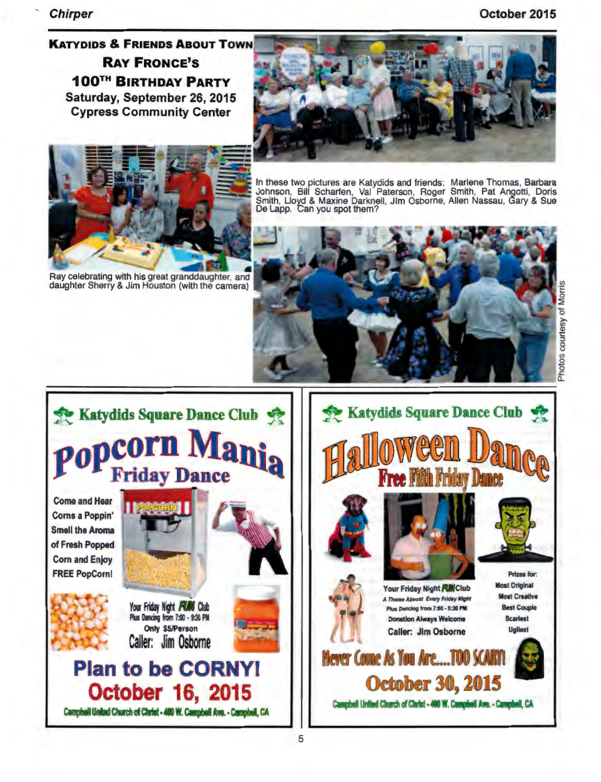**Chirper** 

October 2015

## **KATYDIDS & FRIENDS ABOUT TOWN RAY FRONCE'S 100TH BIRTHDAY PARTY** Saturday, September 26, 2015 **Cypress Community Center**





Ray celebrating with his great granddaughter, and<br>daughter Sherry & Jim Houston (with the camera)

In these two pictures are Katydids and friends: Marlene Thomas, Barbara Johnson, Bill Scharfen, Val Paterson, Roger Smith, Pat Angotti, Doris<br>Smith, Lloyd & Maxine Darknell, Jlm Osborne, Allen Nassau, Gary & Sue<br>De Lapp. Can you spot them?